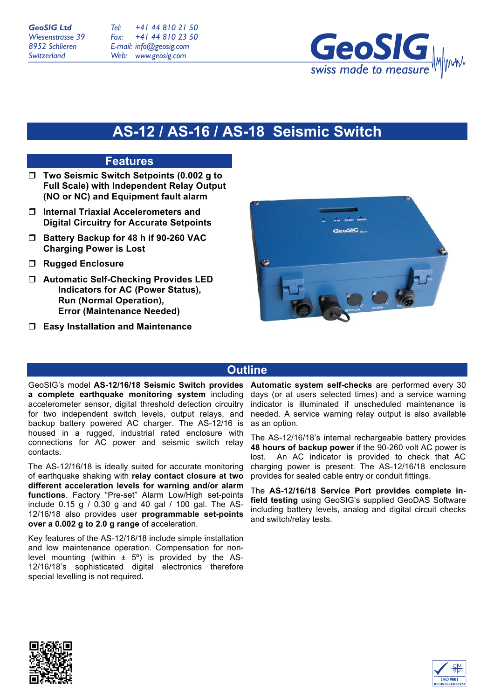*Tel: Fax: E-mail: info@geosig.com Web: www.geosig.com +41 44 810 21 50 +41 44 810 23 50*



# **AS-12 / AS-16 / AS-18 Seismic Switch**

### **Features**

- □ Two Seismic Switch Setpoints (0.002 g to **Full Scale) with Independent Relay Output (NO or NC) and Equipment fault alarm**
- ! **Internal Triaxial Accelerometers and Digital Circuitry for Accurate Setpoints**
- ! **Battery Backup for 48 h if 90-260 VAC Charging Power is Lost**
- ! **Rugged Enclosure**
- ! **Automatic Self-Checking Provides LED Indicators for AC (Power Status), Run (Normal Operation), Error (Maintenance Needed)**
- ! **Easy Installation and Maintenance**



## **Outline**

GeoSIG's model **AS-12/16/18 Seismic Switch provides a complete earthquake monitoring system** including accelerometer sensor, digital threshold detection circuitry for two independent switch levels, output relays, and backup battery powered AC charger. The AS-12/16 is housed in a rugged, industrial rated enclosure with connections for AC power and seismic switch relay contacts.

The AS-12/16/18 is ideally suited for accurate monitoring of earthquake shaking with **relay contact closure at two different acceleration levels for warning and/or alarm functions**. Factory "Pre-set" Alarm Low/High set-points include 0.15 g / 0.30 g and 40 gal / 100 gal. The AS-12/16/18 also provides user **programmable set-points over a 0.002 g to 2.0 g range** of acceleration.

Key features of the AS-12/16/18 include simple installation and low maintenance operation. Compensation for nonlevel mounting (within  $\pm$  5°) is provided by the AS-12/16/18's sophisticated digital electronics therefore special levelling is not required**.**

**Automatic system self-checks** are performed every 30 days (or at users selected times) and a service warning indicator is illuminated if unscheduled maintenance is needed. A service warning relay output is also available as an option.

The AS-12/16/18's internal rechargeable battery provides **48 hours of backup power** if the 90-260 volt AC power is lost. An AC indicator is provided to check that AC charging power is present. The AS-12/16/18 enclosure provides for sealed cable entry or conduit fittings.

The **AS-12/16/18 Service Port provides complete infield testing** using GeoSIG's supplied GeoDAS Software including battery levels, analog and digital circuit checks and switch/relay tests.